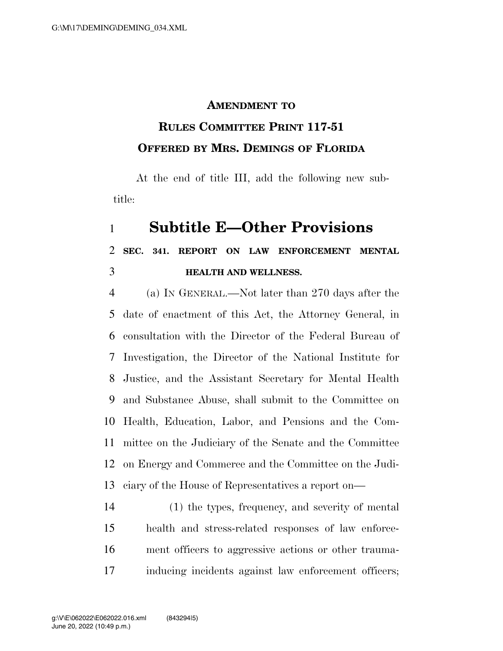## **AMENDMENT TO**

## **RULES COMMITTEE PRINT 117-51 OFFERED BY MRS. DEMINGS OF FLORIDA**

At the end of title III, add the following new subtitle:

## **Subtitle E—Other Provisions**

## **SEC. 341. REPORT ON LAW ENFORCEMENT MENTAL HEALTH AND WELLNESS.**

 (a) IN GENERAL.—Not later than 270 days after the date of enactment of this Act, the Attorney General, in consultation with the Director of the Federal Bureau of Investigation, the Director of the National Institute for Justice, and the Assistant Secretary for Mental Health and Substance Abuse, shall submit to the Committee on Health, Education, Labor, and Pensions and the Com- mittee on the Judiciary of the Senate and the Committee on Energy and Commerce and the Committee on the Judi-ciary of the House of Representatives a report on—

 (1) the types, frequency, and severity of mental health and stress-related responses of law enforce- ment officers to aggressive actions or other trauma-inducing incidents against law enforcement officers;